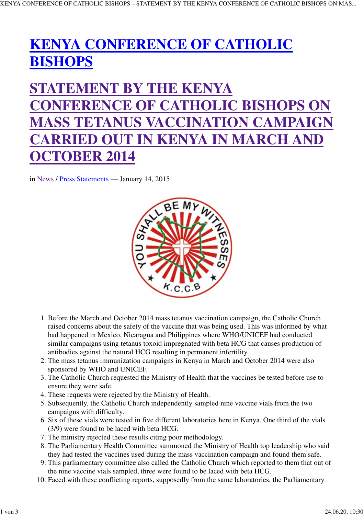## **KENYA CONFERENCE OF CATHOLIC BISHOPS**

## **STATEMENT BY THE KENYA CONFERENCE OF CATHOLIC BISHOPS ON MASS TETANUS VACCINATION CAMPAIGN CARRIED OUT IN KENYA IN MARCH AND OCTOBER 2014**

in News / Press Statements — January 14, 2015



- 1. Before the March and October 2014 mass tetanus vaccination campaign, the Catholic Church raised concerns about the safety of the vaccine that was being used. This was informed by what had happened in Mexico, Nicaragua and Philippines where WHO/UNICEF had conducted similar campaigns using tetanus toxoid impregnated with beta HCG that causes production of antibodies against the natural HCG resulting in permanent infertility.
- 2. The mass tetanus immunization campaigns in Kenya in March and October 2014 were also sponsored by WHO and UNICEF.
- 3. The Catholic Church requested the Ministry of Health that the vaccines be tested before use to ensure they were safe.
- 4. These requests were rejected by the Ministry of Health.
- 5. Subsequently, the Catholic Church independently sampled nine vaccine vials from the two campaigns with difficulty.
- 6. Six of these vials were tested in five different laboratories here in Kenya. One third of the vials (3/9) were found to be laced with beta HCG.
- 7. The ministry rejected these results citing poor methodology.
- 8. The Parliamentary Health Committee summoned the Ministry of Health top leadership who said they had tested the vaccines used during the mass vaccination campaign and found them safe.
- 9. This parliamentary committee also called the Catholic Church which reported to them that out of the nine vaccine vials sampled, three were found to be laced with beta HCG.
- 10. Faced with these conflicting reports, supposedly from the same laboratories, the Parliamentary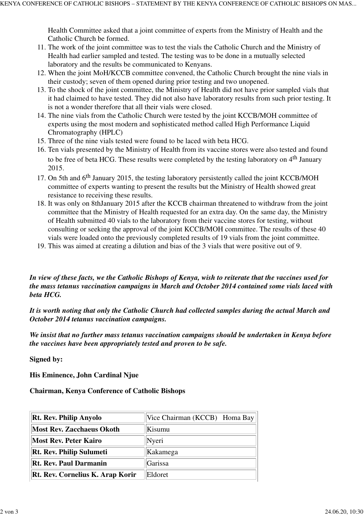Health Committee asked that a joint committee of experts from the Ministry of Health and the Catholic Church be formed.

- 11. The work of the joint committee was to test the vials the Catholic Church and the Ministry of Health had earlier sampled and tested. The testing was to be done in a mutually selected laboratory and the results be communicated to Kenyans.
- 12. When the joint MoH/KCCB committee convened, the Catholic Church brought the nine vials in their custody; seven of them opened during prior testing and two unopened.
- 13. To the shock of the joint committee, the Ministry of Health did not have prior sampled vials that it had claimed to have tested. They did not also have laboratory results from such prior testing. It is not a wonder therefore that all their vials were closed.
- 14. The nine vials from the Catholic Church were tested by the joint KCCB/MOH committee of experts using the most modern and sophisticated method called High Performance Liquid Chromatography (HPLC)
- 15. Three of the nine vials tested were found to be laced with beta HCG.
- 16. Ten vials presented by the Ministry of Health from its vaccine stores were also tested and found to be free of beta HCG. These results were completed by the testing laboratory on  $4<sup>th</sup>$  January 2015.
- 17. On 5th and 6<sup>th</sup> January 2015, the testing laboratory persistently called the joint KCCB/MOH committee of experts wanting to present the results but the Ministry of Health showed great resistance to receiving these results.
- 18. It was only on 8thJanuary 2015 after the KCCB chairman threatened to withdraw from the joint committee that the Ministry of Health requested for an extra day. On the same day, the Ministry of Health submitted 40 vials to the laboratory from their vaccine stores for testing, without consulting or seeking the approval of the joint KCCB/MOH committee. The results of these 40 vials were loaded onto the previously completed results of 19 vials from the joint committee.
- 19. This was aimed at creating a dilution and bias of the 3 vials that were positive out of 9.

*In view of these facts, we the Catholic Bishops of Kenya, wish to reiterate that the vaccines used for the mass tetanus vaccination campaigns in March and October 2014 contained some vials laced with beta HCG.* 

*It is worth noting that only the Catholic Church had collected samples during the actual March and October 2014 tetanus vaccination campaigns.* 

*We insist that no further mass tetanus vaccination campaigns should be undertaken in Kenya before the vaccines have been appropriately tested and proven to be safe.*

**Signed by:**

**His Eminence, John Cardinal Njue**

**Chairman, Kenya Conference of Catholic Bishops**

| <b>Rt. Rev. Philip Anyolo</b>           | Vice Chairman (KCCB) Homa Bay |
|-----------------------------------------|-------------------------------|
| <b>Most Rev. Zacchaeus Okoth</b>        | Kisumu                        |
| <b>Most Rev. Peter Kairo</b>            | Nyeri                         |
| <b>Rt. Rev. Philip Sulumeti</b>         | Kakamega                      |
| <b>Rt. Rev. Paul Darmanin</b>           | Garissa                       |
| <b>Rt. Rev. Cornelius K. Arap Korir</b> | Eldoret                       |